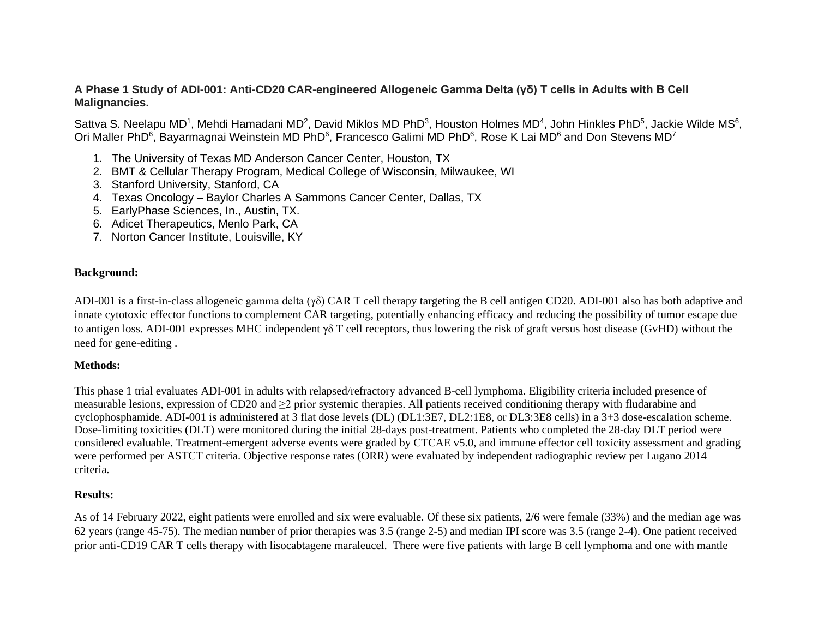## **A Phase 1 Study of ADI-001: Anti-CD20 CAR-engineered Allogeneic Gamma Delta (γδ) T cells in Adults with B Cell Malignancies.**

Sattva S. Neelapu MD<sup>1</sup>, Mehdi Hamadani MD<sup>2</sup>, David Miklos MD PhD<sup>3</sup>, Houston Holmes MD<sup>4</sup>, John Hinkles PhD<sup>5</sup>, Jackie Wilde MS<sup>6</sup>, Ori Maller PhD<sup>6</sup>, Bayarmagnai Weinstein MD PhD<sup>6</sup>, Francesco Galimi MD PhD<sup>6</sup>, Rose K Lai MD<sup>6</sup> and Don Stevens MD<sup>7</sup>

- 1. The University of Texas MD Anderson Cancer Center, Houston, TX
- 2. BMT & Cellular Therapy Program, Medical College of Wisconsin, Milwaukee, WI
- 3. Stanford University, Stanford, CA
- 4. Texas Oncology Baylor Charles A Sammons Cancer Center, Dallas, TX
- 5. EarlyPhase Sciences, In., Austin, TX.
- 6. Adicet Therapeutics, Menlo Park, CA
- 7. Norton Cancer Institute, Louisville, KY

## **Background:**

ADI-001 is a first-in-class allogeneic gamma delta (γδ) CAR T cell therapy targeting the B cell antigen CD20. ADI-001 also has both adaptive and innate cytotoxic effector functions to complement CAR targeting, potentially enhancing efficacy and reducing the possibility of tumor escape due to antigen loss. ADI-001 expresses MHC independent γδ T cell receptors, thus lowering the risk of graft versus host disease (GvHD) without the need for gene-editing .

## **Methods:**

This phase 1 trial evaluates ADI-001 in adults with relapsed/refractory advanced B-cell lymphoma. Eligibility criteria included presence of measurable lesions, expression of CD20 and ≥2 prior systemic therapies. All patients received conditioning therapy with fludarabine and cyclophosphamide. ADI-001 is administered at 3 flat dose levels (DL) (DL1:3E7, DL2:1E8, or DL3:3E8 cells) in a 3+3 dose-escalation scheme. Dose-limiting toxicities (DLT) were monitored during the initial 28-days post-treatment. Patients who completed the 28-day DLT period were considered evaluable. Treatment-emergent adverse events were graded by CTCAE v5.0, and immune effector cell toxicity assessment and grading were performed per ASTCT criteria. Objective response rates (ORR) were evaluated by independent radiographic review per Lugano 2014 criteria.

## **Results:**

As of 14 February 2022, eight patients were enrolled and six were evaluable. Of these six patients, 2/6 were female (33%) and the median age was 62 years (range 45-75). The median number of prior therapies was 3.5 (range 2-5) and median IPI score was 3.5 (range 2-4). One patient received prior anti-CD19 CAR T cells therapy with lisocabtagene maraleucel. There were five patients with large B cell lymphoma and one with mantle